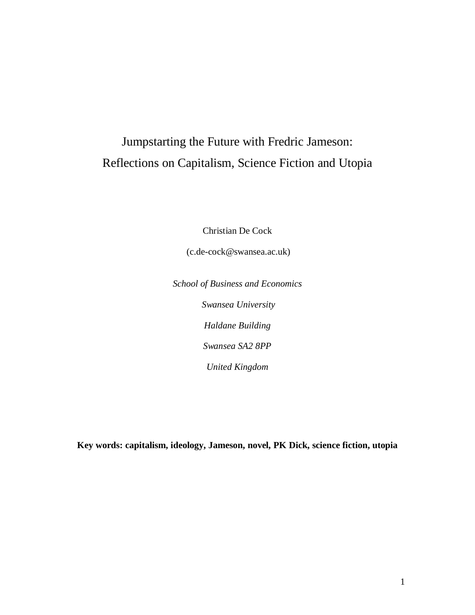# Jumpstarting the Future with Fredric Jameson: Reflections on Capitalism, Science Fiction and Utopia

Christian De Cock

(c.de-cock@swansea.ac.uk)

*School of Business and Economics Swansea University Haldane Building Swansea SA2 8PP United Kingdom*

**Key words: capitalism, ideology, Jameson, novel, PK Dick, science fiction, utopia**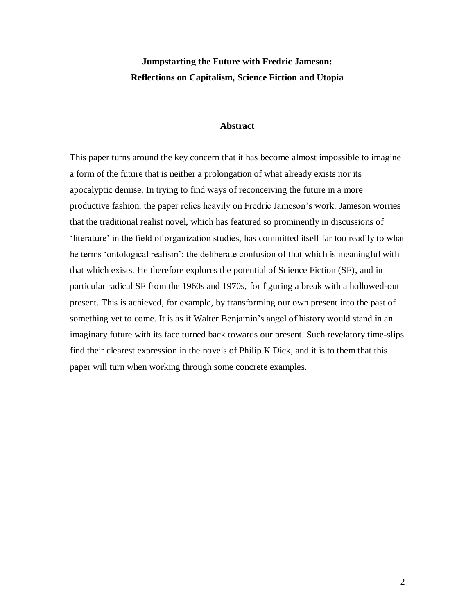# **Jumpstarting the Future with Fredric Jameson: Reflections on Capitalism, Science Fiction and Utopia**

#### **Abstract**

This paper turns around the key concern that it has become almost impossible to imagine a form of the future that is neither a prolongation of what already exists nor its apocalyptic demise. In trying to find ways of reconceiving the future in a more productive fashion, the paper relies heavily on Fredric Jameson"s work. Jameson worries that the traditional realist novel, which has featured so prominently in discussions of 'literature' in the field of organization studies, has committed itself far too readily to what he terms "ontological realism": the deliberate confusion of that which is meaningful with that which exists. He therefore explores the potential of Science Fiction (SF), and in particular radical SF from the 1960s and 1970s, for figuring a break with a hollowed-out present. This is achieved, for example, by transforming our own present into the past of something yet to come. It is as if Walter Benjamin's angel of history would stand in an imaginary future with its face turned back towards our present. Such revelatory time-slips find their clearest expression in the novels of Philip K Dick, and it is to them that this paper will turn when working through some concrete examples.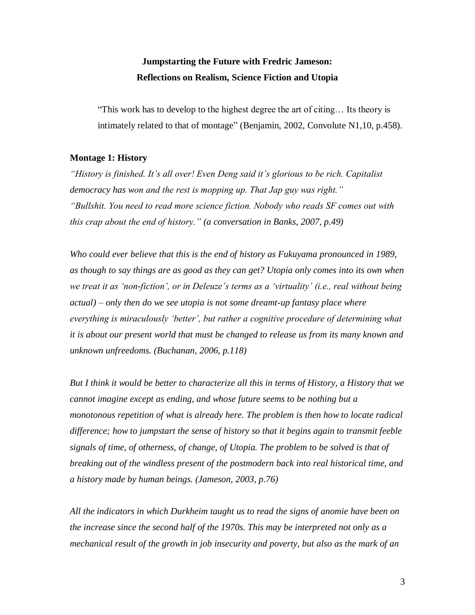# **Jumpstarting the Future with Fredric Jameson: Reflections on Realism, Science Fiction and Utopia**

"This work has to develop to the highest degree the art of citing… Its theory is intimately related to that of montage" (Benjamin, 2002, Convolute N1,10, p.458).

## **Montage 1: History**

*"History is finished. It"s all over! Even Deng said it"s glorious to be rich. Capitalist democracy has won and the rest is mopping up. That Jap guy was right." "Bullshit. You need to read more science fiction. Nobody who reads SF comes out with this crap about the end of history." (a conversation in Banks, 2007, p.49)*

*Who could ever believe that this is the end of history as Fukuyama pronounced in 1989, as though to say things are as good as they can get? Utopia only comes into its own when we treat it as "non-fiction", or in Deleuze"s terms as a "virtuality" (i.e., real without being actual) – only then do we see utopia is not some dreamt-up fantasy place where everything is miraculously "better", but rather a cognitive procedure of determining what it is about our present world that must be changed to release us from its many known and unknown unfreedoms. (Buchanan, 2006, p.118)*

*But I think it would be better to characterize all this in terms of History, a History that we cannot imagine except as ending, and whose future seems to be nothing but a monotonous repetition of what is already here. The problem is then how to locate radical difference; how to jumpstart the sense of history so that it begins again to transmit feeble signals of time, of otherness, of change, of Utopia. The problem to be solved is that of breaking out of the windless present of the postmodern back into real historical time, and a history made by human beings. (Jameson, 2003, p.76)*

*All the indicators in which Durkheim taught us to read the signs of anomie have been on the increase since the second half of the 1970s. This may be interpreted not only as a mechanical result of the growth in job insecurity and poverty, but also as the mark of an*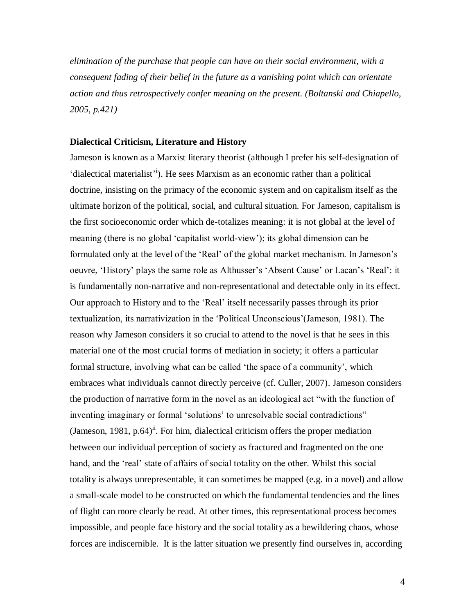*elimination of the purchase that people can have on their social environment, with a consequent fading of their belief in the future as a vanishing point which can orientate action and thus retrospectively confer meaning on the present. (Boltanski and Chiapello, 2005, p.421)*

#### **Dialectical Criticism, Literature and History**

Jameson is known as a Marxist literary theorist (although I prefer his self-designation of 'dialectical materialist<sup>'</sup><sup>i</sup>). He sees Marxism as an economic rather than a political doctrine, insisting on the primacy of the economic system and on capitalism itself as the ultimate horizon of the political, social, and cultural situation. For Jameson, capitalism is the first socioeconomic order which de-totalizes meaning: it is not global at the level of meaning (there is no global 'capitalist world-view'); its global dimension can be formulated only at the level of the "Real" of the global market mechanism. In Jameson"s oeuvre, "History" plays the same role as Althusser"s "Absent Cause" or Lacan"s "Real": it is fundamentally non-narrative and non-representational and detectable only in its effect. Our approach to History and to the "Real" itself necessarily passes through its prior textualization, its narrativization in the "Political Unconscious"(Jameson, 1981). The reason why Jameson considers it so crucial to attend to the novel is that he sees in this material one of the most crucial forms of mediation in society; it offers a particular formal structure, involving what can be called "the space of a community", which embraces what individuals cannot directly perceive (cf. Culler, 2007). Jameson considers the production of narrative form in the novel as an ideological act "with the function of inventing imaginary or formal "solutions" to unresolvable social contradictions" (Jameson, 1981, p.64)<sup>ii</sup>. For him, dialectical criticism offers the proper mediation between our individual perception of society as fractured and fragmented on the one hand, and the 'real' state of affairs of social totality on the other. Whilst this social totality is always unrepresentable, it can sometimes be mapped (e.g. in a novel) and allow a small-scale model to be constructed on which the fundamental tendencies and the lines of flight can more clearly be read. At other times, this representational process becomes impossible, and people face history and the social totality as a bewildering chaos, whose forces are indiscernible. It is the latter situation we presently find ourselves in, according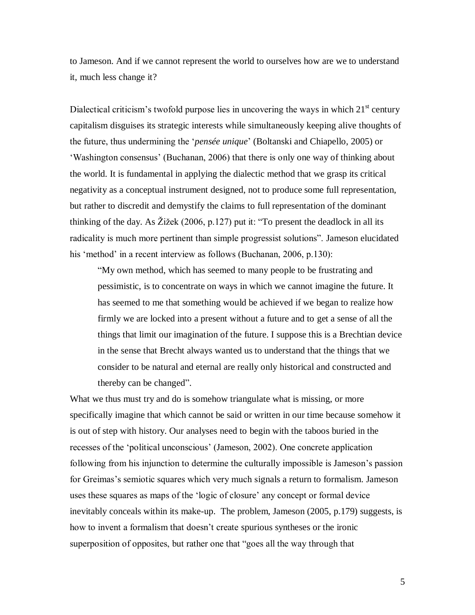to Jameson. And if we cannot represent the world to ourselves how are we to understand it, much less change it?

Dialectical criticism's twofold purpose lies in uncovering the ways in which  $21<sup>st</sup>$  century capitalism disguises its strategic interests while simultaneously keeping alive thoughts of the future, thus undermining the "*pensée unique*" (Boltanski and Chiapello, 2005) or 'Washington consensus' (Buchanan, 2006) that there is only one way of thinking about the world. It is fundamental in applying the dialectic method that we grasp its critical negativity as a conceptual instrument designed, not to produce some full representation, but rather to discredit and demystify the claims to full representation of the dominant thinking of the day. As Žižek (2006, p.127) put it: "To present the deadlock in all its radicality is much more pertinent than simple progressist solutions". Jameson elucidated his 'method' in a recent interview as follows (Buchanan, 2006, p.130):

"My own method, which has seemed to many people to be frustrating and pessimistic, is to concentrate on ways in which we cannot imagine the future. It has seemed to me that something would be achieved if we began to realize how firmly we are locked into a present without a future and to get a sense of all the things that limit our imagination of the future. I suppose this is a Brechtian device in the sense that Brecht always wanted us to understand that the things that we consider to be natural and eternal are really only historical and constructed and thereby can be changed".

What we thus must try and do is somehow triangulate what is missing, or more specifically imagine that which cannot be said or written in our time because somehow it is out of step with history. Our analyses need to begin with the taboos buried in the recesses of the "political unconscious" (Jameson, 2002). One concrete application following from his injunction to determine the culturally impossible is Jameson"s passion for Greimas"s semiotic squares which very much signals a return to formalism. Jameson uses these squares as maps of the "logic of closure" any concept or formal device inevitably conceals within its make-up. The problem, Jameson (2005, p.179) suggests, is how to invent a formalism that doesn't create spurious syntheses or the ironic superposition of opposites, but rather one that "goes all the way through that

5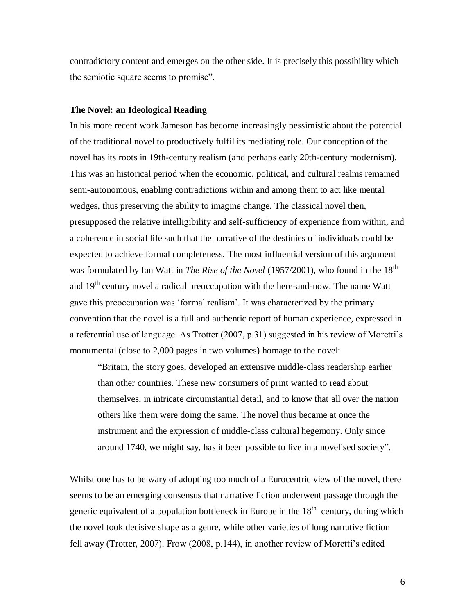contradictory content and emerges on the other side. It is precisely this possibility which the semiotic square seems to promise".

#### **The Novel: an Ideological Reading**

In his more recent work Jameson has become increasingly pessimistic about the potential of the traditional novel to productively fulfil its mediating role. Our conception of the novel has its roots in 19th-century realism (and perhaps early 20th-century modernism). This was an historical period when the economic, political, and cultural realms remained semi-autonomous, enabling contradictions within and among them to act like mental wedges, thus preserving the ability to imagine change. The classical novel then, presupposed the relative intelligibility and self-sufficiency of experience from within, and a coherence in social life such that the narrative of the destinies of individuals could be expected to achieve formal completeness. The most influential version of this argument was formulated by Ian Watt in *The Rise of the Novel* (1957/2001), who found in the 18<sup>th</sup> and 19<sup>th</sup> century novel a radical preoccupation with the here-and-now. The name Watt gave this preoccupation was "formal realism". It was characterized by the primary convention that the novel is a full and authentic report of human experience, expressed in a referential use of language. As Trotter (2007, p.31) suggested in his review of Moretti's monumental (close to 2,000 pages in two volumes) homage to the novel:

"Britain, the story goes, developed an extensive middle-class readership earlier than other countries. These new consumers of print wanted to read about themselves, in intricate circumstantial detail, and to know that all over the nation others like them were doing the same. The novel thus became at once the instrument and the expression of middle-class cultural hegemony. Only since around 1740, we might say, has it been possible to live in a novelised society".

Whilst one has to be wary of adopting too much of a Eurocentric view of the novel, there seems to be an emerging consensus that narrative fiction underwent passage through the generic equivalent of a population bottleneck in Europe in the  $18<sup>th</sup>$  century, during which the novel took decisive shape as a genre, while other varieties of long narrative fiction fell away (Trotter, 2007). Frow (2008, p.144), in another review of Moretti's edited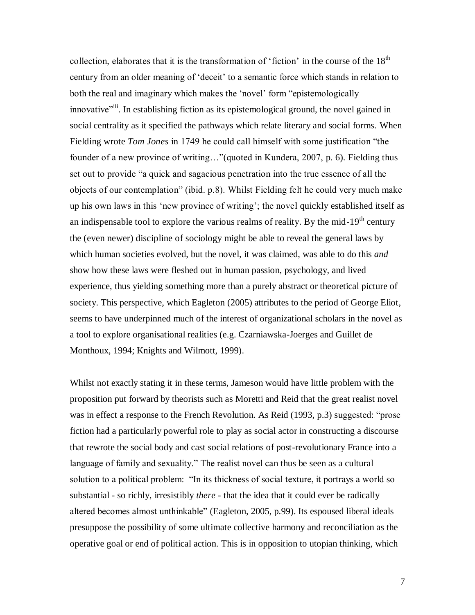collection, elaborates that it is the transformation of 'fiction' in the course of the  $18<sup>th</sup>$ century from an older meaning of "deceit" to a semantic force which stands in relation to both the real and imaginary which makes the "novel" form "epistemologically innovative<sup>"iii</sup>. In establishing fiction as its epistemological ground, the novel gained in social centrality as it specified the pathways which relate literary and social forms. When Fielding wrote *Tom Jones* in 1749 he could call himself with some justification "the founder of a new province of writing…"(quoted in Kundera, 2007, p. 6). Fielding thus set out to provide "a quick and sagacious penetration into the true essence of all the objects of our contemplation" (ibid. p.8). Whilst Fielding felt he could very much make up his own laws in this "new province of writing"; the novel quickly established itself as an indispensable tool to explore the various realms of reality. By the mid-19<sup>th</sup> century the (even newer) discipline of sociology might be able to reveal the general laws by which human societies evolved, but the novel, it was claimed, was able to do this *and* show how these laws were fleshed out in human passion, psychology, and lived experience, thus yielding something more than a purely abstract or theoretical picture of society. This perspective, which Eagleton (2005) attributes to the period of George Eliot, seems to have underpinned much of the interest of organizational scholars in the novel as a tool to explore organisational realities (e.g. Czarniawska-Joerges and Guillet de Monthoux, 1994; Knights and Wilmott, 1999).

Whilst not exactly stating it in these terms, Jameson would have little problem with the proposition put forward by theorists such as Moretti and Reid that the great realist novel was in effect a response to the French Revolution. As Reid (1993, p.3) suggested: "prose fiction had a particularly powerful role to play as social actor in constructing a discourse that rewrote the social body and cast social relations of post-revolutionary France into a language of family and sexuality." The realist novel can thus be seen as a cultural solution to a political problem: "In its thickness of social texture, it portrays a world so substantial - so richly, irresistibly *there* - that the idea that it could ever be radically altered becomes almost unthinkable" (Eagleton, 2005, p.99). Its espoused liberal ideals presuppose the possibility of some ultimate collective harmony and reconciliation as the operative goal or end of political action. This is in opposition to utopian thinking, which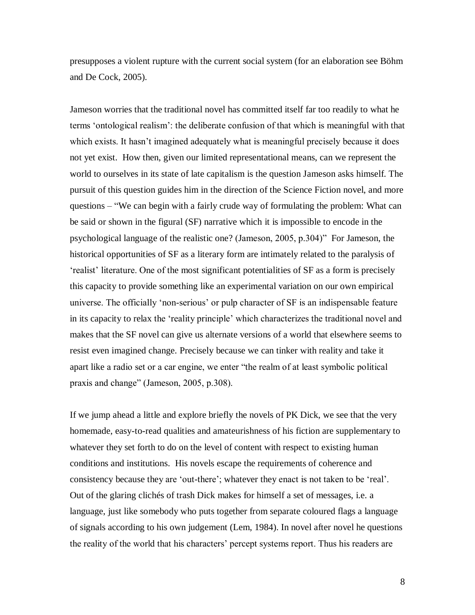presupposes a violent rupture with the current social system (for an elaboration see Böhm and De Cock, 2005).

Jameson worries that the traditional novel has committed itself far too readily to what he terms "ontological realism": the deliberate confusion of that which is meaningful with that which exists. It hasn't imagined adequately what is meaningful precisely because it does not yet exist. How then, given our limited representational means, can we represent the world to ourselves in its state of late capitalism is the question Jameson asks himself. The pursuit of this question guides him in the direction of the Science Fiction novel, and more questions – "We can begin with a fairly crude way of formulating the problem: What can be said or shown in the figural (SF) narrative which it is impossible to encode in the psychological language of the realistic one? (Jameson, 2005, p.304)" For Jameson, the historical opportunities of SF as a literary form are intimately related to the paralysis of 'realist' literature. One of the most significant potentialities of SF as a form is precisely this capacity to provide something like an experimental variation on our own empirical universe. The officially "non-serious" or pulp character of SF is an indispensable feature in its capacity to relax the "reality principle" which characterizes the traditional novel and makes that the SF novel can give us alternate versions of a world that elsewhere seems to resist even imagined change. Precisely because we can tinker with reality and take it apart like a radio set or a car engine, we enter "the realm of at least symbolic political praxis and change" (Jameson, 2005, p.308).

If we jump ahead a little and explore briefly the novels of PK Dick, we see that the very homemade, easy-to-read qualities and amateurishness of his fiction are supplementary to whatever they set forth to do on the level of content with respect to existing human conditions and institutions. His novels escape the requirements of coherence and consistency because they are "out-there"; whatever they enact is not taken to be "real". Out of the glaring clichés of trash Dick makes for himself a set of messages, i.e. a language, just like somebody who puts together from separate coloured flags a language of signals according to his own judgement (Lem, 1984). In novel after novel he questions the reality of the world that his characters" percept systems report. Thus his readers are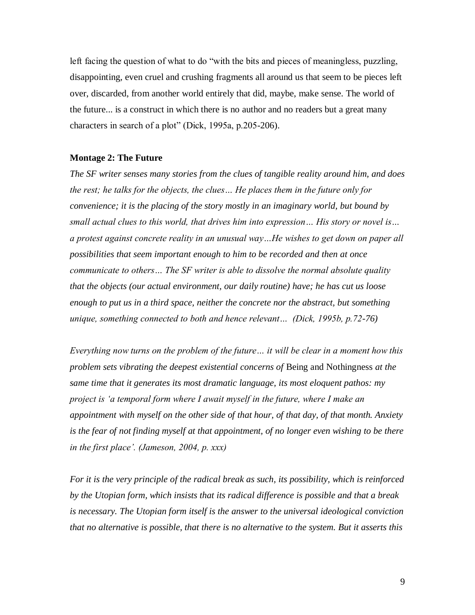left facing the question of what to do "with the bits and pieces of meaningless, puzzling, disappointing, even cruel and crushing fragments all around us that seem to be pieces left over, discarded, from another world entirely that did, maybe, make sense. The world of the future... is a construct in which there is no author and no readers but a great many characters in search of a plot" (Dick, 1995a, p.205-206).

## **Montage 2: The Future**

*The SF writer senses many stories from the clues of tangible reality around him, and does the rest; he talks for the objects, the clues… He places them in the future only for convenience; it is the placing of the story mostly in an imaginary world, but bound by small actual clues to this world, that drives him into expression… His story or novel is… a protest against concrete reality in an unusual way…He wishes to get down on paper all possibilities that seem important enough to him to be recorded and then at once communicate to others… The SF writer is able to dissolve the normal absolute quality that the objects (our actual environment, our daily routine) have; he has cut us loose enough to put us in a third space, neither the concrete nor the abstract, but something unique, something connected to both and hence relevant… (Dick, 1995b, p.72-76)*

*Everything now turns on the problem of the future… it will be clear in a moment how this problem sets vibrating the deepest existential concerns of* Being and Nothingness *at the same time that it generates its most dramatic language, its most eloquent pathos: my project is "a temporal form where I await myself in the future, where I make an appointment with myself on the other side of that hour, of that day, of that month. Anxiety is the fear of not finding myself at that appointment, of no longer even wishing to be there in the first place". (Jameson, 2004, p. xxx)*

*For it is the very principle of the radical break as such, its possibility, which is reinforced by the Utopian form, which insists that its radical difference is possible and that a break is necessary. The Utopian form itself is the answer to the universal ideological conviction that no alternative is possible, that there is no alternative to the system. But it asserts this*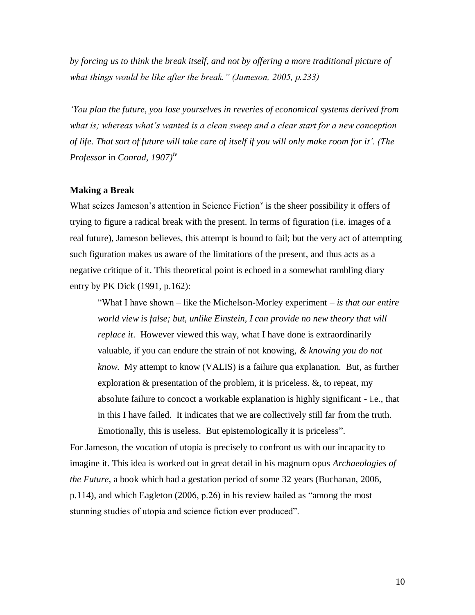*by forcing us to think the break itself, and not by offering a more traditional picture of what things would be like after the break." (Jameson, 2005, p.233)*

*"You plan the future, you lose yourselves in reveries of economical systems derived from what is; whereas what"s wanted is a clean sweep and a clear start for a new conception of life. That sort of future will take care of itself if you will only make room for it". (The Professor* in *Conrad, 1907)iv*

#### **Making a Break**

What seizes Jameson's attention in Science Fiction $\theta$  is the sheer possibility it offers of trying to figure a radical break with the present. In terms of figuration (i.e. images of a real future), Jameson believes, this attempt is bound to fail; but the very act of attempting such figuration makes us aware of the limitations of the present, and thus acts as a negative critique of it. This theoretical point is echoed in a somewhat rambling diary entry by PK Dick (1991, p.162):

"What I have shown – like the Michelson-Morley experiment – *is that our entire world view is false; but, unlike Einstein, I can provide no new theory that will replace it*. However viewed this way, what I have done is extraordinarily valuable, if you can endure the strain of not knowing, *& knowing you do not know*. My attempt to know (VALIS) is a failure qua explanation. But, as further exploration & presentation of the problem, it is priceless. &, to repeat, my absolute failure to concoct a workable explanation is highly significant - i.e., that in this I have failed. It indicates that we are collectively still far from the truth. Emotionally, this is useless. But epistemologically it is priceless".

For Jameson, the vocation of utopia is precisely to confront us with our incapacity to imagine it. This idea is worked out in great detail in his magnum opus *Archaeologies of the Future*, a book which had a gestation period of some 32 years (Buchanan, 2006, p.114), and which Eagleton (2006, p.26) in his review hailed as "among the most stunning studies of utopia and science fiction ever produced".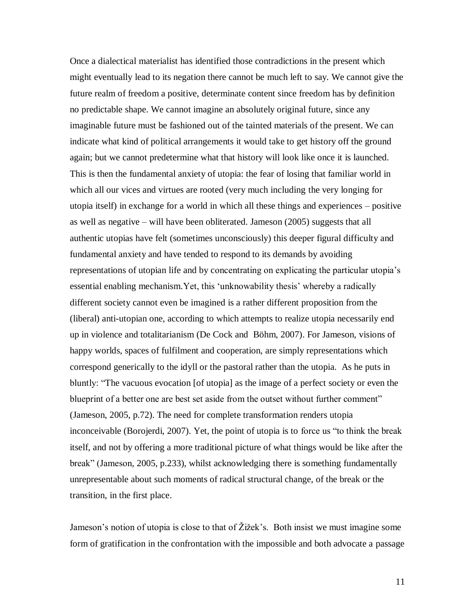Once a dialectical materialist has identified those contradictions in the present which might eventually lead to its negation there cannot be much left to say. We cannot give the future realm of freedom a positive, determinate content since freedom has by definition no predictable shape. We cannot imagine an absolutely original future, since any imaginable future must be fashioned out of the tainted materials of the present. We can indicate what kind of political arrangements it would take to get history off the ground again; but we cannot predetermine what that history will look like once it is launched. This is then the fundamental anxiety of utopia: the fear of losing that familiar world in which all our vices and virtues are rooted (very much including the very longing for utopia itself) in exchange for a world in which all these things and experiences – positive as well as negative – will have been obliterated. Jameson (2005) suggests that all authentic utopias have felt (sometimes unconsciously) this deeper figural difficulty and fundamental anxiety and have tended to respond to its demands by avoiding representations of utopian life and by concentrating on explicating the particular utopia"s essential enabling mechanism.Yet, this "unknowability thesis" whereby a radically different society cannot even be imagined is a rather different proposition from the (liberal) anti-utopian one, according to which attempts to realize utopia necessarily end up in violence and totalitarianism (De Cock and Böhm, 2007). For Jameson, visions of happy worlds, spaces of fulfilment and cooperation, are simply representations which correspond generically to the idyll or the pastoral rather than the utopia. As he puts in bluntly: "The vacuous evocation [of utopia] as the image of a perfect society or even the blueprint of a better one are best set aside from the outset without further comment" (Jameson, 2005, p.72). The need for complete transformation renders utopia inconceivable (Borojerdi, 2007). Yet, the point of utopia is to force us "to think the break itself, and not by offering a more traditional picture of what things would be like after the break" (Jameson, 2005, p.233), whilst acknowledging there is something fundamentally unrepresentable about such moments of radical structural change, of the break or the transition, in the first place.

Jameson's notion of utopia is close to that of Žižek's. Both insist we must imagine some form of gratification in the confrontation with the impossible and both advocate a passage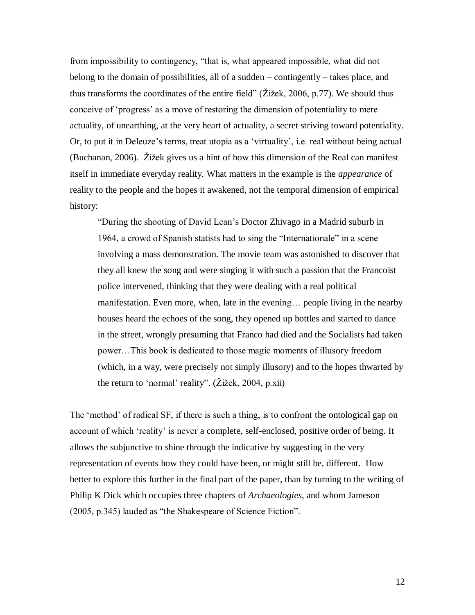from impossibility to contingency, "that is, what appeared impossible, what did not belong to the domain of possibilities, all of a sudden – contingently – takes place, and thus transforms the coordinates of the entire field" (Žižek, 2006, p.77). We should thus conceive of "progress" as a move of restoring the dimension of potentiality to mere actuality, of unearthing, at the very heart of actuality, a secret striving toward potentiality. Or, to put it in Deleuze's terms, treat utopia as a 'virtuality', i.e. real without being actual (Buchanan, 2006). Žižek gives us a hint of how this dimension of the Real can manifest itself in immediate everyday reality. What matters in the example is the *appearance* of reality to the people and the hopes it awakened, not the temporal dimension of empirical history:

"During the shooting of David Lean"s Doctor Zhivago in a Madrid suburb in 1964, a crowd of Spanish statists had to sing the "Internationale" in a scene involving a mass demonstration. The movie team was astonished to discover that they all knew the song and were singing it with such a passion that the Francoist police intervened, thinking that they were dealing with a real political manifestation. Even more, when, late in the evening… people living in the nearby houses heard the echoes of the song, they opened up bottles and started to dance in the street, wrongly presuming that Franco had died and the Socialists had taken power…This book is dedicated to those magic moments of illusory freedom (which, in a way, were precisely not simply illusory) and to the hopes thwarted by the return to "normal" reality". (Žižek, 2004, p.xii)

The "method" of radical SF, if there is such a thing, is to confront the ontological gap on account of which "reality" is never a complete, self-enclosed, positive order of being. It allows the subjunctive to shine through the indicative by suggesting in the very representation of events how they could have been, or might still be, different. How better to explore this further in the final part of the paper, than by turning to the writing of Philip K Dick which occupies three chapters of *Archaeologies*, and whom Jameson (2005, p.345) lauded as "the Shakespeare of Science Fiction".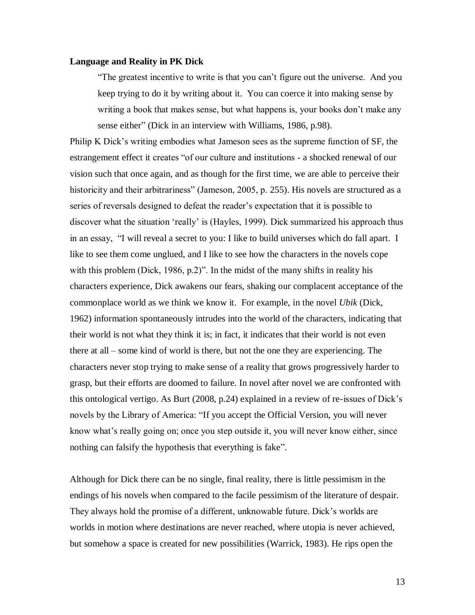### **Language and Reality in PK Dick**

"The greatest incentive to write is that you can"t figure out the universe. And you keep trying to do it by writing about it. You can coerce it into making sense by writing a book that makes sense, but what happens is, your books don't make any sense either" (Dick in an interview with Williams, 1986, p.98).

Philip K Dick"s writing embodies what Jameson sees as the supreme function of SF, the estrangement effect it creates "of our culture and institutions - a shocked renewal of our vision such that once again, and as though for the first time, we are able to perceive their historicity and their arbitrariness" (Jameson, 2005, p. 255). His novels are structured as a series of reversals designed to defeat the reader"s expectation that it is possible to discover what the situation "really" is (Hayles, 1999). Dick summarized his approach thus in an essay, "I will reveal a secret to you: I like to build universes which do fall apart. I like to see them come unglued, and I like to see how the characters in the novels cope with this problem (Dick, 1986, p.2)". In the midst of the many shifts in reality his characters experience, Dick awakens our fears, shaking our complacent acceptance of the commonplace world as we think we know it. For example, in the novel *Ubik* (Dick, 1962) information spontaneously intrudes into the world of the characters, indicating that their world is not what they think it is; in fact, it indicates that their world is not even there at all – some kind of world is there, but not the one they are experiencing. The characters never stop trying to make sense of a reality that grows progressively harder to grasp, but their efforts are doomed to failure. In novel after novel we are confronted with this ontological vertigo. As Burt (2008, p.24) explained in a review of re-issues of Dick"s novels by the Library of America: "If you accept the Official Version, you will never know what's really going on; once you step outside it, you will never know either, since nothing can falsify the hypothesis that everything is fake".

Although for Dick there can be no single, final reality, there is little pessimism in the endings of his novels when compared to the facile pessimism of the literature of despair. They always hold the promise of a different, unknowable future. Dick"s worlds are worlds in motion where destinations are never reached, where utopia is never achieved, but somehow a space is created for new possibilities (Warrick, 1983). He rips open the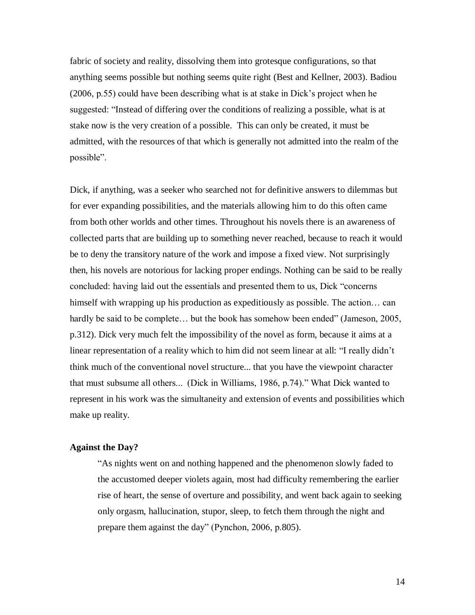fabric of society and reality, dissolving them into grotesque configurations, so that anything seems possible but nothing seems quite right (Best and Kellner, 2003). Badiou (2006, p.55) could have been describing what is at stake in Dick"s project when he suggested: "Instead of differing over the conditions of realizing a possible, what is at stake now is the very creation of a possible. This can only be created, it must be admitted, with the resources of that which is generally not admitted into the realm of the possible".

Dick, if anything, was a seeker who searched not for definitive answers to dilemmas but for ever expanding possibilities, and the materials allowing him to do this often came from both other worlds and other times. Throughout his novels there is an awareness of collected parts that are building up to something never reached, because to reach it would be to deny the transitory nature of the work and impose a fixed view. Not surprisingly then, his novels are notorious for lacking proper endings. Nothing can be said to be really concluded: having laid out the essentials and presented them to us, Dick "concerns himself with wrapping up his production as expeditiously as possible. The action… can hardly be said to be complete... but the book has somehow been ended" (Jameson, 2005, p.312). Dick very much felt the impossibility of the novel as form, because it aims at a linear representation of a reality which to him did not seem linear at all: "I really didn"t think much of the conventional novel structure... that you have the viewpoint character that must subsume all others... (Dick in Williams, 1986, p.74)." What Dick wanted to represent in his work was the simultaneity and extension of events and possibilities which make up reality.

# **Against the Day?**

"As nights went on and nothing happened and the phenomenon slowly faded to the accustomed deeper violets again, most had difficulty remembering the earlier rise of heart, the sense of overture and possibility, and went back again to seeking only orgasm, hallucination, stupor, sleep, to fetch them through the night and prepare them against the day" (Pynchon, 2006, p.805).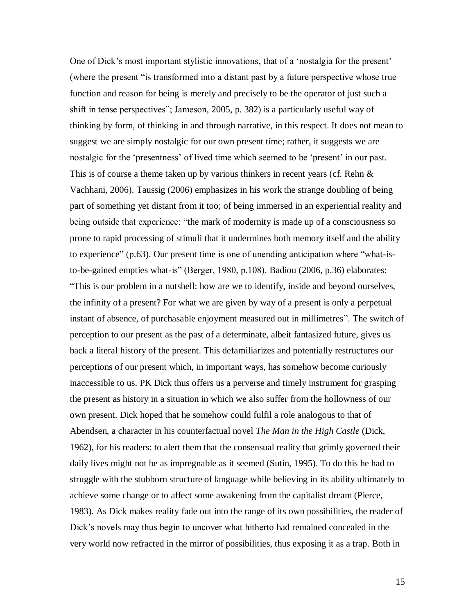One of Dick"s most important stylistic innovations, that of a "nostalgia for the present" (where the present "is transformed into a distant past by a future perspective whose true function and reason for being is merely and precisely to be the operator of just such a shift in tense perspectives"; Jameson, 2005, p. 382) is a particularly useful way of thinking by form, of thinking in and through narrative, in this respect. It does not mean to suggest we are simply nostalgic for our own present time; rather, it suggests we are nostalgic for the 'presentness' of lived time which seemed to be 'present' in our past. This is of course a theme taken up by various thinkers in recent years (cf. Rehn & Vachhani, 2006). Taussig (2006) emphasizes in his work the strange doubling of being part of something yet distant from it too; of being immersed in an experiential reality and being outside that experience: "the mark of modernity is made up of a consciousness so prone to rapid processing of stimuli that it undermines both memory itself and the ability to experience" (p.63). Our present time is one of unending anticipation where "what-isto-be-gained empties what-is" (Berger, 1980, p.108). Badiou (2006, p.36) elaborates: "This is our problem in a nutshell: how are we to identify, inside and beyond ourselves, the infinity of a present? For what we are given by way of a present is only a perpetual instant of absence, of purchasable enjoyment measured out in millimetres". The switch of perception to our present as the past of a determinate, albeit fantasized future, gives us back a literal history of the present. This defamiliarizes and potentially restructures our perceptions of our present which, in important ways, has somehow become curiously inaccessible to us. PK Dick thus offers us a perverse and timely instrument for grasping the present as history in a situation in which we also suffer from the hollowness of our own present. Dick hoped that he somehow could fulfil a role analogous to that of Abendsen, a character in his counterfactual novel *The Man in the High Castle* (Dick, 1962), for his readers: to alert them that the consensual reality that grimly governed their daily lives might not be as impregnable as it seemed (Sutin, 1995). To do this he had to struggle with the stubborn structure of language while believing in its ability ultimately to achieve some change or to affect some awakening from the capitalist dream (Pierce, 1983). As Dick makes reality fade out into the range of its own possibilities, the reader of Dick's novels may thus begin to uncover what hitherto had remained concealed in the very world now refracted in the mirror of possibilities, thus exposing it as a trap. Both in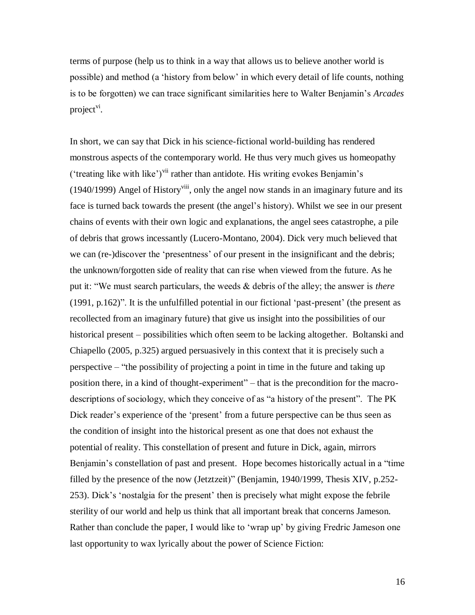terms of purpose (help us to think in a way that allows us to believe another world is possible) and method (a "history from below" in which every detail of life counts, nothing is to be forgotten) we can trace significant similarities here to Walter Benjamin"s *Arcades* project<sup>vi</sup>.

In short, we can say that Dick in his science-fictional world-building has rendered monstrous aspects of the contemporary world. He thus very much gives us homeopathy ('treating like with like')<sup>vii</sup> rather than antidote. His writing evokes Benjamin's  $(1940/1999)$  Angel of History<sup>viii</sup>, only the angel now stands in an imaginary future and its face is turned back towards the present (the angel"s history). Whilst we see in our present chains of events with their own logic and explanations, the angel sees catastrophe, a pile of debris that grows incessantly (Lucero-Montano, 2004). Dick very much believed that we can (re-)discover the "presentness" of our present in the insignificant and the debris; the unknown/forgotten side of reality that can rise when viewed from the future. As he put it: "We must search particulars, the weeds & debris of the alley; the answer is *there* (1991, p.162)". It is the unfulfilled potential in our fictional "past-present" (the present as recollected from an imaginary future) that give us insight into the possibilities of our historical present – possibilities which often seem to be lacking altogether. Boltanski and Chiapello (2005, p.325) argued persuasively in this context that it is precisely such a perspective – "the possibility of projecting a point in time in the future and taking up position there, in a kind of thought-experiment" – that is the precondition for the macrodescriptions of sociology, which they conceive of as "a history of the present". The PK Dick reader's experience of the 'present' from a future perspective can be thus seen as the condition of insight into the historical present as one that does not exhaust the potential of reality. This constellation of present and future in Dick, again, mirrors Benjamin's constellation of past and present. Hope becomes historically actual in a "time" filled by the presence of the now (Jetztzeit)" (Benjamin, 1940/1999, Thesis XIV, p.252- 253). Dick"s "nostalgia for the present" then is precisely what might expose the febrile sterility of our world and help us think that all important break that concerns Jameson. Rather than conclude the paper, I would like to 'wrap up' by giving Fredric Jameson one last opportunity to wax lyrically about the power of Science Fiction:

16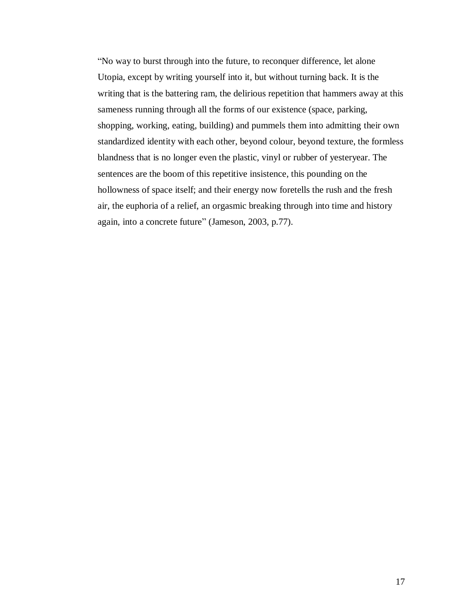"No way to burst through into the future, to reconquer difference, let alone Utopia, except by writing yourself into it, but without turning back. It is the writing that is the battering ram, the delirious repetition that hammers away at this sameness running through all the forms of our existence (space, parking, shopping, working, eating, building) and pummels them into admitting their own standardized identity with each other, beyond colour, beyond texture, the formless blandness that is no longer even the plastic, vinyl or rubber of yesteryear. The sentences are the boom of this repetitive insistence, this pounding on the hollowness of space itself; and their energy now foretells the rush and the fresh air, the euphoria of a relief, an orgasmic breaking through into time and history again, into a concrete future" (Jameson, 2003, p.77).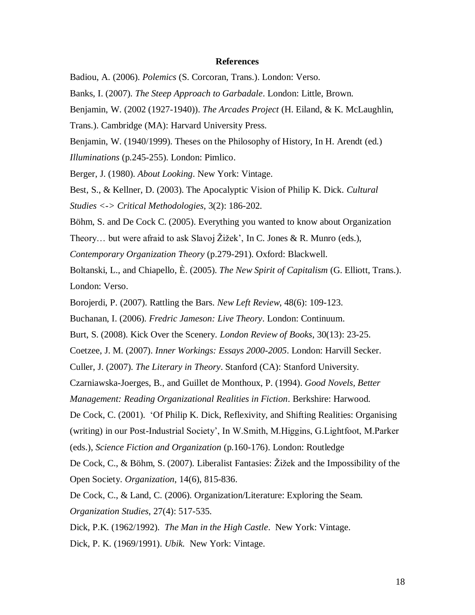#### **References**

Badiou, A. (2006). *Polemics* (S. Corcoran, Trans.). London: Verso.

Banks, I. (2007). *The Steep Approach to Garbadale*. London: Little, Brown.

Benjamin, W. (2002 (1927-1940)). *The Arcades Project* (H. Eiland, & K. McLaughlin,

Trans.). Cambridge (MA): Harvard University Press.

Benjamin, W. (1940/1999). Theses on the Philosophy of History, In H. Arendt (ed.)

*Illuminations* (p.245-255). London: Pimlico.

Berger, J. (1980). *About Looking*. New York: Vintage.

Best, S., & Kellner, D. (2003). The Apocalyptic Vision of Philip K. Dick. *Cultural* 

*Studies <-> Critical Methodologies*, 3(2): 186-202.

Böhm, S. and De Cock C. (2005). Everything you wanted to know about Organization

Theory... but were afraid to ask Slavoj Žižek', In C. Jones & R. Munro (eds.),

*Contemporary Organization Theory* (p.279-291). Oxford: Blackwell.

Boltanski, L., and Chiapello, È. (2005). *The New Spirit of Capitalism* (G. Elliott, Trans.). London: Verso.

Borojerdi, P. (2007). Rattling the Bars. *New Left Review*, 48(6): 109-123.

Buchanan, I. (2006). *Fredric Jameson: Live Theory*. London: Continuum.

Burt, S. (2008). Kick Over the Scenery. *London Review of Books*, 30(13): 23-25.

Coetzee, J. M. (2007). *Inner Workings: Essays 2000-2005*. London: Harvill Secker.

Culler, J. (2007). *The Literary in Theory*. Stanford (CA): Stanford University.

Czarniawska-Joerges, B., and Guillet de Monthoux, P. (1994). *Good Novels, Better* 

*Management: Reading Organizational Realities in Fiction*. Berkshire: Harwood.

De Cock, C. (2001). "Of Philip K. Dick, Reflexivity, and Shifting Realities: Organising

(writing) in our Post-Industrial Society", In W.Smith, M.Higgins, G.Lightfoot, M.Parker

(eds.), *Science Fiction and Organization* (p.160-176). London: Routledge

De Cock, C., & Böhm, S. (2007). Liberalist Fantasies: Žižek and the Impossibility of the Open Society. *Organization*, 14(6), 815-836.

De Cock, C., & Land, C. (2006). Organization/Literature: Exploring the Seam. *Organization Studies*, 27(4): 517-535.

Dick, P.K. (1962/1992). *The Man in the High Castle*. New York: Vintage.

Dick, P. K. (1969/1991). *Ubik.* New York: Vintage.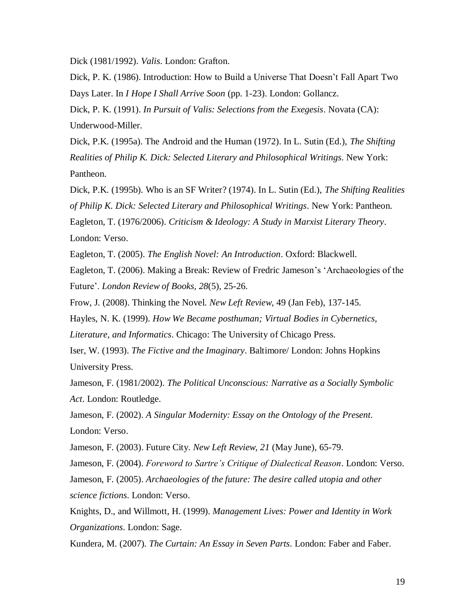Dick (1981/1992). *Valis*. London: Grafton.

Dick, P. K. (1986). Introduction: How to Build a Universe That Doesn"t Fall Apart Two Days Later. In *I Hope I Shall Arrive Soon* (pp. 1-23). London: Gollancz.

Dick, P. K. (1991). *In Pursuit of Valis: Selections from the Exegesis*. Novata (CA): Underwood-Miller.

Dick, P.K. (1995a). The Android and the Human (1972). In L. Sutin (Ed.), *The Shifting Realities of Philip K. Dick: Selected Literary and Philosophical Writings*. New York: Pantheon.

Dick, P.K. (1995b). Who is an SF Writer? (1974). In L. Sutin (Ed.), *The Shifting Realities of Philip K. Dick: Selected Literary and Philosophical Writings*. New York: Pantheon. Eagleton, T. (1976/2006). *Criticism & Ideology: A Study in Marxist Literary Theory*. London: Verso.

Eagleton, T. (2005). *The English Novel: An Introduction*. Oxford: Blackwell.

Eagleton, T. (2006). Making a Break: Review of Fredric Jameson"s "Archaeologies of the Future". *London Review of Books, 28*(5), 25-26.

Frow, J. (2008). Thinking the Novel. *New Left Review*, 49 (Jan Feb), 137-145.

Hayles, N. K. (1999). *How We Became posthuman; Virtual Bodies in Cybernetics,* 

*Literature, and Informatics*. Chicago: The University of Chicago Press.

Iser, W. (1993). *The Fictive and the Imaginary*. Baltimore/ London: Johns Hopkins University Press.

Jameson, F. (1981/2002). *The Political Unconscious: Narrative as a Socially Symbolic Act*. London: Routledge.

Jameson, F. (2002). *A Singular Modernity: Essay on the Ontology of the Present*. London: Verso.

Jameson, F. (2003). Future City. *New Left Review, 21* (May June), 65-79.

Jameson, F. (2004). *Foreword to Sartre"s Critique of Dialectical Reason*. London: Verso.

Jameson, F. (2005). *Archaeologies of the future: The desire called utopia and other* 

*science fictions*. London: Verso.

Knights, D., and Willmott, H. (1999). *Management Lives: Power and Identity in Work Organizations*. London: Sage.

Kundera, M. (2007). *The Curtain: An Essay in Seven Parts*. London: Faber and Faber.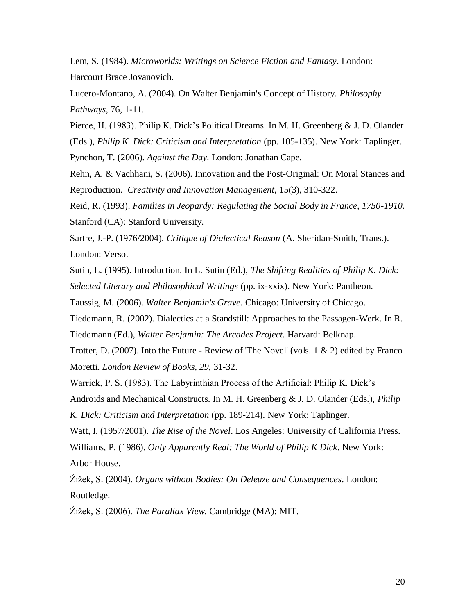Lem, S. (1984). *Microworlds: Writings on Science Fiction and Fantasy*. London: Harcourt Brace Jovanovich.

Lucero-Montano, A. (2004). On Walter Benjamin's Concept of History. *Philosophy Pathways*, 76, 1-11.

Pierce, H. (1983). Philip K. Dick"s Political Dreams. In M. H. Greenberg & J. D. Olander (Eds.), *Philip K. Dick: Criticism and Interpretation* (pp. 105-135). New York: Taplinger.

Pynchon, T. (2006). *Against the Day*. London: Jonathan Cape.

Rehn, A. & Vachhani, S. (2006). Innovation and the Post-Original: On Moral Stances and Reproduction. *Creativity and Innovation Management,* 15(3), 310-322.

Reid, R. (1993). *Families in Jeopardy: Regulating the Social Body in France, 1750-1910*. Stanford (CA): Stanford University.

Sartre, J.-P. (1976/2004). *Critique of Dialectical Reason* (A. Sheridan-Smith, Trans.). London: Verso.

Sutin, L. (1995). Introduction. In L. Sutin (Ed.), *The Shifting Realities of Philip K. Dick: Selected Literary and Philosophical Writings* (pp. ix-xxix). New York: Pantheon.

Taussig, M. (2006). *Walter Benjamin's Grave*. Chicago: University of Chicago.

Tiedemann, R. (2002). Dialectics at a Standstill: Approaches to the Passagen-Werk. In R. Tiedemann (Ed.), *Walter Benjamin: The Arcades Project.* Harvard: Belknap.

Trotter, D. (2007). Into the Future - Review of 'The Novel' (vols.  $1 \& 2$ ) edited by Franco Moretti. *London Review of Books, 29,* 31-32.

Warrick, P. S. (1983). The Labyrinthian Process of the Artificial: Philip K. Dick"s Androids and Mechanical Constructs. In M. H. Greenberg & J. D. Olander (Eds.), *Philip* 

*K. Dick: Criticism and Interpretation* (pp. 189-214). New York: Taplinger.

Watt, I. (1957/2001). *The Rise of the Novel*. Los Angeles: University of California Press. Williams, P. (1986). *Only Apparently Real: The World of Philip K Dick*. New York: Arbor House.

Žižek, S. (2004). *Organs without Bodies: On Deleuze and Consequences*. London: Routledge.

Žižek, S. (2006). *The Parallax View*. Cambridge (MA): MIT.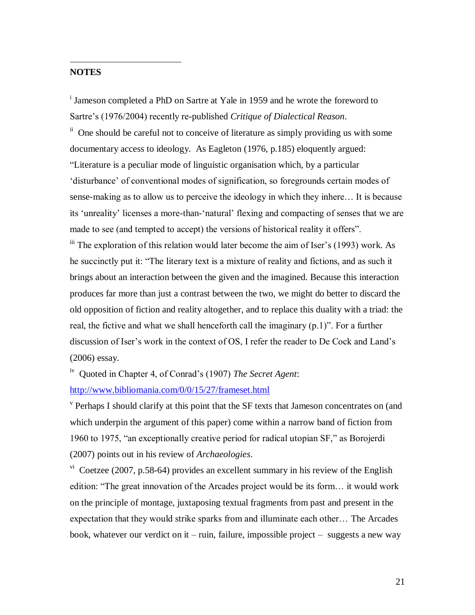# **NOTES**

 $\overline{a}$ 

<sup>i</sup> Jameson completed a PhD on Sartre at Yale in 1959 and he wrote the foreword to Sartre"s (1976/2004) recently re-published *Critique of Dialectical Reason*.

<sup>ii</sup> One should be careful not to conceive of literature as simply providing us with some documentary access to ideology. As Eagleton (1976, p.185) eloquently argued: "Literature is a peculiar mode of linguistic organisation which, by a particular "disturbance" of conventional modes of signification, so foregrounds certain modes of sense-making as to allow us to perceive the ideology in which they inhere… It is because its "unreality" licenses a more-than-"natural" flexing and compacting of senses that we are made to see (and tempted to accept) the versions of historical reality it offers".  $\ddot{\text{m}}$  The exploration of this relation would later become the aim of Iser's (1993) work. As he succinctly put it: "The literary text is a mixture of reality and fictions, and as such it brings about an interaction between the given and the imagined. Because this interaction

produces far more than just a contrast between the two, we might do better to discard the old opposition of fiction and reality altogether, and to replace this duality with a triad: the real, the fictive and what we shall henceforth call the imaginary (p.1)". For a further discussion of Iser's work in the context of OS, I refer the reader to De Cock and Land's (2006) essay.

<sup>iv</sup> Quoted in Chapter 4, of Conrad's (1907) *The Secret Agent*:

<http://www.bibliomania.com/0/0/15/27/frameset.html>

<sup>v</sup> Perhaps I should clarify at this point that the SF texts that Jameson concentrates on (and which underpin the argument of this paper) come within a narrow band of fiction from 1960 to 1975, "an exceptionally creative period for radical utopian SF," as Borojerdi (2007) points out in his review of *Archaeologies*.

 $v<sup>i</sup>$  Coetzee (2007, p.58-64) provides an excellent summary in his review of the English edition: "The great innovation of the Arcades project would be its form… it would work on the principle of montage, juxtaposing textual fragments from past and present in the expectation that they would strike sparks from and illuminate each other… The Arcades book, whatever our verdict on it – ruin, failure, impossible project – suggests a new way